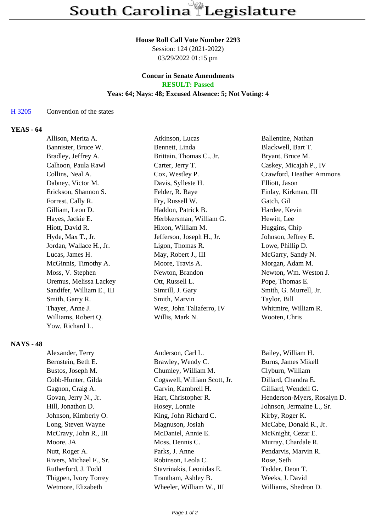### **House Roll Call Vote Number 2293**

Session: 124 (2021-2022) 03/29/2022 01:15 pm

#### **Concur in Senate Amendments RESULT: Passed**

# **Yeas: 64; Nays: 48; Excused Absence: 5; Not Voting: 4**

# H 3205 Convention of the states

# **YEAS - 64**

| Allison, Merita A.        | Atkinson, Lucas           | Ballentine, Nathan       |
|---------------------------|---------------------------|--------------------------|
| Bannister, Bruce W.       | Bennett, Linda            | Blackwell, Bart T.       |
| Bradley, Jeffrey A.       | Brittain, Thomas C., Jr.  | Bryant, Bruce M.         |
| Calhoon, Paula Rawl       | Carter, Jerry T.          | Caskey, Micajah P., IV   |
| Collins, Neal A.          | Cox, Westley P.           | Crawford, Heather Ammons |
| Dabney, Victor M.         | Davis, Sylleste H.        | Elliott, Jason           |
| Erickson, Shannon S.      | Felder, R. Raye           | Finlay, Kirkman, III     |
| Forrest, Cally R.         | Fry, Russell W.           | Gatch, Gil               |
| Gilliam, Leon D.          | Haddon, Patrick B.        | Hardee, Kevin            |
| Hayes, Jackie E.          | Herbkersman, William G.   | Hewitt, Lee              |
| Hiott, David R.           | Hixon, William M.         | Huggins, Chip            |
| Hyde, Max T., Jr.         | Jefferson, Joseph H., Jr. | Johnson, Jeffrey E.      |
| Jordan, Wallace H., Jr.   | Ligon, Thomas R.          | Lowe, Phillip D.         |
| Lucas, James H.           | May, Robert J., III       | McGarry, Sandy N.        |
| McGinnis, Timothy A.      | Moore, Travis A.          | Morgan, Adam M.          |
| Moss, V. Stephen          | Newton, Brandon           | Newton, Wm. Weston J.    |
| Oremus, Melissa Lackey    | Ott, Russell L.           | Pope, Thomas E.          |
| Sandifer, William E., III | Simrill, J. Gary          | Smith, G. Murrell, Jr.   |
| Smith, Garry R.           | Smith, Marvin             | Taylor, Bill             |
| Thayer, Anne J.           | West, John Taliaferro, IV | Whitmire, William R.     |
| Williams, Robert Q.       | Willis, Mark N.           | Wooten, Chris            |
| Yow, Richard L.           |                           |                          |

# **NAYS - 48**

Alexander, Terry **Anderson, Carl L.** Bailey, William H. Bernstein, Beth E. Brawley, Wendy C. Burns, James Mikell Bustos, Joseph M. Chumley, William M. Clyburn, William Cobb-Hunter, Gilda Cogswell, William Scott, Jr. Dillard, Chandra E. Gagnon, Craig A. Garvin, Kambrell H. Gilliard, Wendell G. Hill, Jonathon D. **Hosey, Lonnie** Johnson, Jermaine L., Sr. Johnson, Kimberly O. King, John Richard C. Kirby, Roger K. Long, Steven Wayne Magnuson, Josiah McCabe, Donald R., Jr. McCravy, John R., III McDaniel, Annie E. McKnight, Cezar E. Moore, JA Moss, Dennis C. Murray, Chardale R. Nutt, Roger A. **Parks, J. Anne** Pendarvis, Marvin R. Rivers, Michael F., Sr. Robinson, Leola C. Rose, Seth Rutherford, J. Todd Stavrinakis, Leonidas E. Tedder, Deon T. Thigpen, Ivory Torrey Trantham, Ashley B. Weeks, J. David Wetmore, Elizabeth Wheeler, William W., III Williams, Shedron D.

Govan, Jerry N., Jr. **Hart, Christopher R.** Henderson-Myers, Rosalyn D.